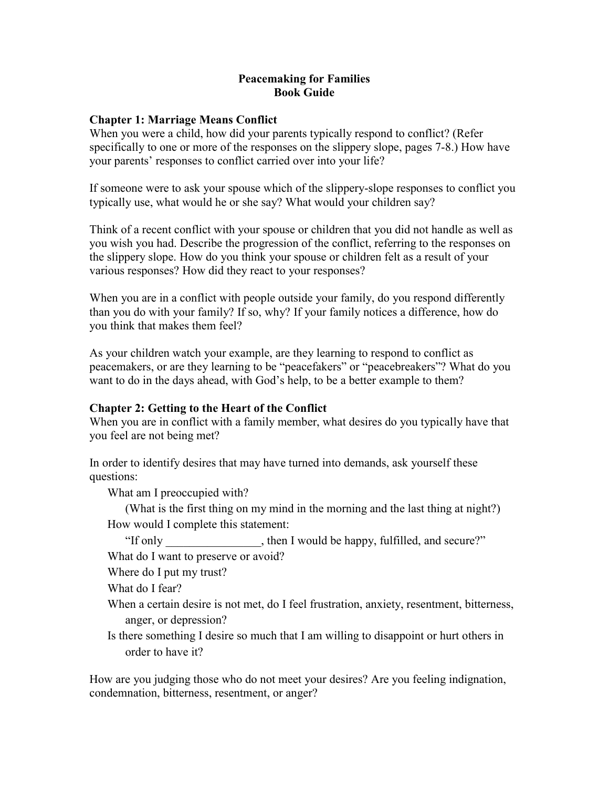### **Peacemaking for Families Book Guide**

## **Chapter 1: Marriage Means Conflict**

When you were a child, how did your parents typically respond to conflict? (Refer specifically to one or more of the responses on the slippery slope, pages 7-8.) How have your parents' responses to conflict carried over into your life?

If someone were to ask your spouse which of the slippery-slope responses to conflict you typically use, what would he or she say? What would your children say?

Think of a recent conflict with your spouse or children that you did not handle as well as you wish you had. Describe the progression of the conflict, referring to the responses on the slippery slope. How do you think your spouse or children felt as a result of your various responses? How did they react to your responses?

When you are in a conflict with people outside your family, do you respond differently than you do with your family? If so, why? If your family notices a difference, how do you think that makes them feel?

As your children watch your example, are they learning to respond to conflict as peacemakers, or are they learning to be "peacefakers" or "peacebreakers"? What do you want to do in the days ahead, with God's help, to be a better example to them?

# **Chapter 2: Getting to the Heart of the Conflict**

When you are in conflict with a family member, what desires do you typically have that you feel are not being met?

In order to identify desires that may have turned into demands, ask yourself these questions:

What am I preoccupied with?

(What is the first thing on my mind in the morning and the last thing at night?) How would I complete this statement:

"If only then I would be happy, fulfilled, and secure?"

What do I want to preserve or avoid?

Where do I put my trust?

What do I fear?

- When a certain desire is not met, do I feel frustration, anxiety, resentment, bitterness, anger, or depression?
- Is there something I desire so much that I am willing to disappoint or hurt others in order to have it?

How are you judging those who do not meet your desires? Are you feeling indignation, condemnation, bitterness, resentment, or anger?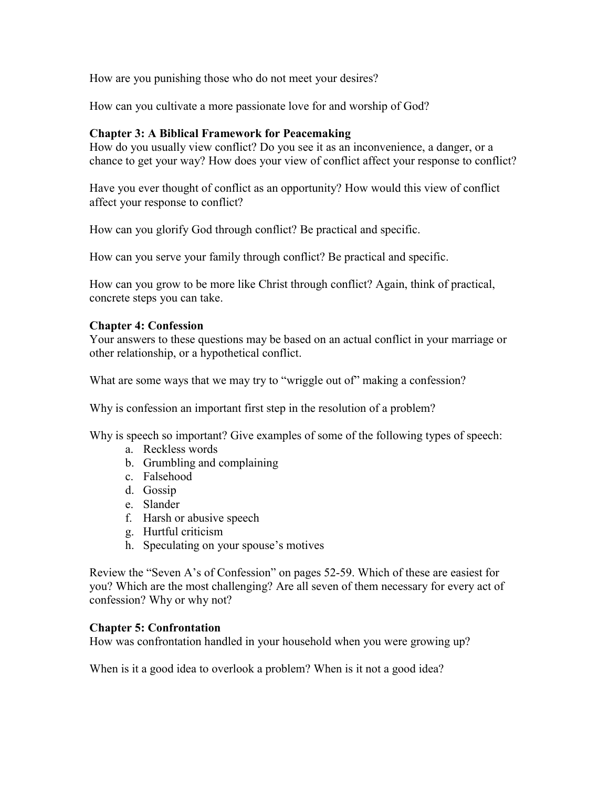How are you punishing those who do not meet your desires?

How can you cultivate a more passionate love for and worship of God?

## **Chapter 3: A Biblical Framework for Peacemaking**

How do you usually view conflict? Do you see it as an inconvenience, a danger, or a chance to get your way? How does your view of conflict affect your response to conflict?

Have you ever thought of conflict as an opportunity? How would this view of conflict affect your response to conflict?

How can you glorify God through conflict? Be practical and specific.

How can you serve your family through conflict? Be practical and specific.

How can you grow to be more like Christ through conflict? Again, think of practical, concrete steps you can take.

## **Chapter 4: Confession**

Your answers to these questions may be based on an actual conflict in your marriage or other relationship, or a hypothetical conflict.

What are some ways that we may try to "wriggle out of" making a confession?

Why is confession an important first step in the resolution of a problem?

Why is speech so important? Give examples of some of the following types of speech:

- a. Reckless words
- b. Grumbling and complaining
- c. Falsehood
- d. Gossip
- e. Slander
- f. Harsh or abusive speech
- g. Hurtful criticism
- h. Speculating on your spouse's motives

Review the "Seven A's of Confession" on pages 52-59. Which of these are easiest for you? Which are the most challenging? Are all seven of them necessary for every act of confession? Why or why not?

#### **Chapter 5: Confrontation**

How was confrontation handled in your household when you were growing up?

When is it a good idea to overlook a problem? When is it not a good idea?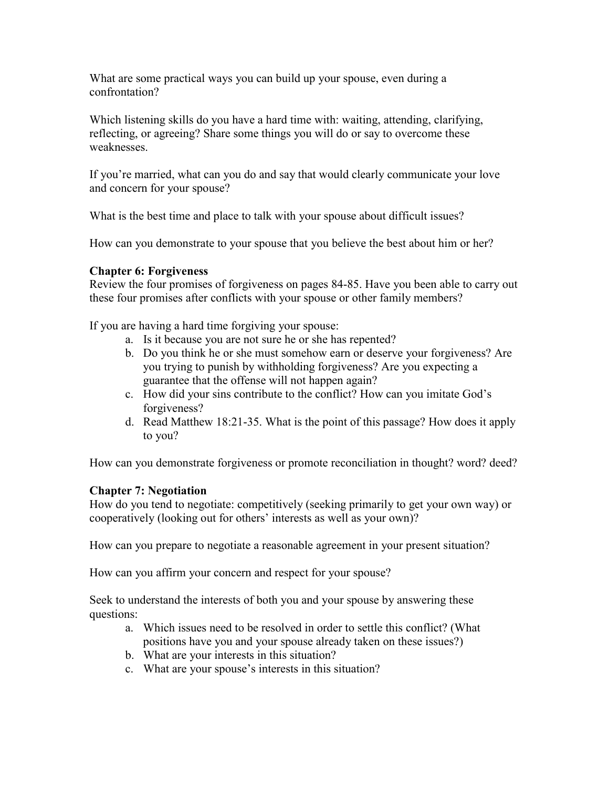What are some practical ways you can build up your spouse, even during a confrontation?

Which listening skills do you have a hard time with: waiting, attending, clarifying, reflecting, or agreeing? Share some things you will do or say to overcome these weaknesses.

If you're married, what can you do and say that would clearly communicate your love and concern for your spouse?

What is the best time and place to talk with your spouse about difficult issues?

How can you demonstrate to your spouse that you believe the best about him or her?

## **Chapter 6: Forgiveness**

Review the four promises of forgiveness on pages 84-85. Have you been able to carry out these four promises after conflicts with your spouse or other family members?

If you are having a hard time forgiving your spouse:

- a. Is it because you are not sure he or she has repented?
- b. Do you think he or she must somehow earn or deserve your forgiveness? Are you trying to punish by withholding forgiveness? Are you expecting a guarantee that the offense will not happen again?
- c. How did your sins contribute to the conflict? How can you imitate God's forgiveness?
- d. Read Matthew 18:21-35. What is the point of this passage? How does it apply to you?

How can you demonstrate forgiveness or promote reconciliation in thought? word? deed?

#### **Chapter 7: Negotiation**

How do you tend to negotiate: competitively (seeking primarily to get your own way) or cooperatively (looking out for others' interests as well as your own)?

How can you prepare to negotiate a reasonable agreement in your present situation?

How can you affirm your concern and respect for your spouse?

Seek to understand the interests of both you and your spouse by answering these questions:

- a. Which issues need to be resolved in order to settle this conflict? (What positions have you and your spouse already taken on these issues?)
- b. What are your interests in this situation?
- c. What are your spouse's interests in this situation?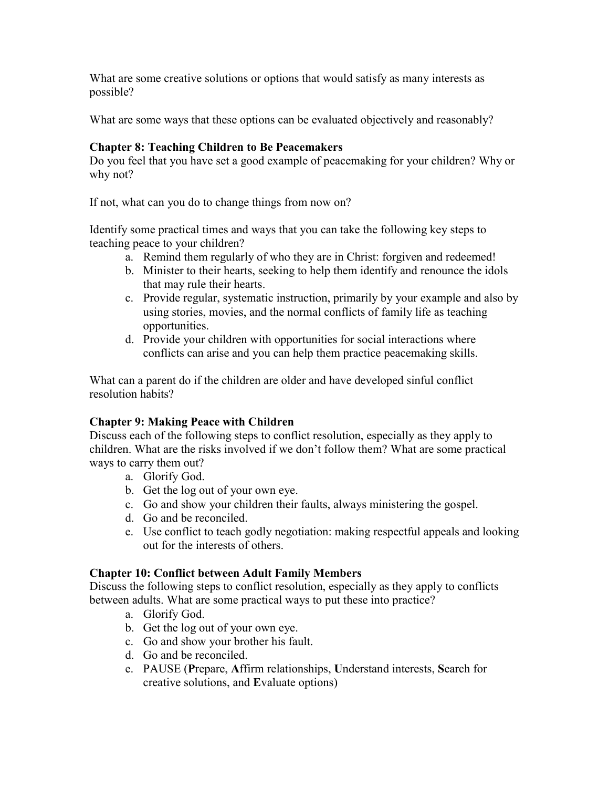What are some creative solutions or options that would satisfy as many interests as possible?

What are some ways that these options can be evaluated objectively and reasonably?

# **Chapter 8: Teaching Children to Be Peacemakers**

Do you feel that you have set a good example of peacemaking for your children? Why or why not?

If not, what can you do to change things from now on?

Identify some practical times and ways that you can take the following key steps to teaching peace to your children?

- a. Remind them regularly of who they are in Christ: forgiven and redeemed!
- b. Minister to their hearts, seeking to help them identify and renounce the idols that may rule their hearts.
- c. Provide regular, systematic instruction, primarily by your example and also by using stories, movies, and the normal conflicts of family life as teaching opportunities.
- d. Provide your children with opportunities for social interactions where conflicts can arise and you can help them practice peacemaking skills.

What can a parent do if the children are older and have developed sinful conflict resolution habits?

# **Chapter 9: Making Peace with Children**

Discuss each of the following steps to conflict resolution, especially as they apply to children. What are the risks involved if we don't follow them? What are some practical ways to carry them out?

- a. Glorify God.
- b. Get the log out of your own eye.
- c. Go and show your children their faults, always ministering the gospel.
- d. Go and be reconciled.
- e. Use conflict to teach godly negotiation: making respectful appeals and looking out for the interests of others.

# **Chapter 10: Conflict between Adult Family Members**

Discuss the following steps to conflict resolution, especially as they apply to conflicts between adults. What are some practical ways to put these into practice?

- a. Glorify God.
- b. Get the log out of your own eye.
- c. Go and show your brother his fault.
- d. Go and be reconciled.
- e. PAUSE (**P**repare, **A**ffirm relationships, **U**nderstand interests, **S**earch for creative solutions, and **E**valuate options)